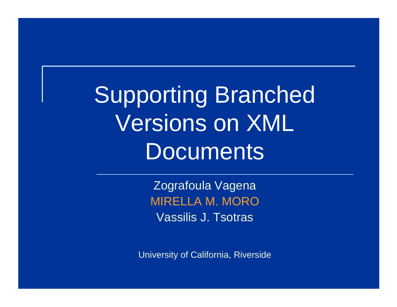Supporting Branched Versions on XML **Documents** 

> Zografoula Vagena MIRELLA M. MOROVassilis J. Tsotras

University of California, Riverside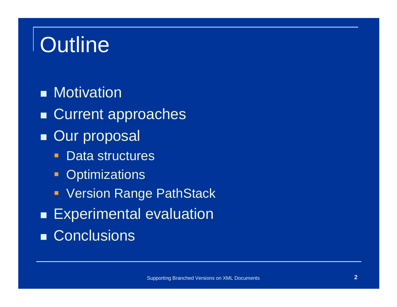# **Outline**

■ Motivation

- ■ Current approaches
- ■ Our proposal
	- Data structures
	- $\blacksquare$ **Optimizations**
	- **-** Version Range PathStack
- $\blacksquare$  Experimental evaluation ■ Conclusions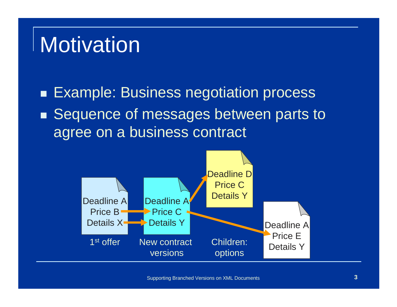### **Motivation**

■ Example: Business negotiation process ■ Sequence of messages between parts to agree on a business contract

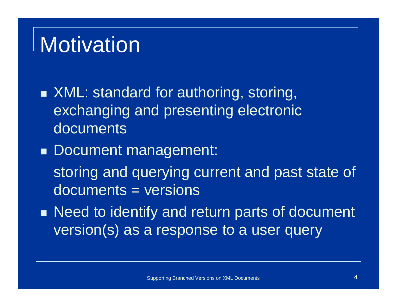### **Motivation**

- ■ XML: standard for authoring, storing, exchanging and presenting electronic documents
- Document management: storing and querying current and past state of documents = versions
- **Need to identify and return parts of document** version(s) as a response to a user query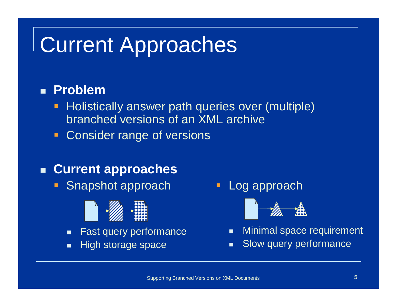### Current Approaches

#### п **Problem**

- -**Holistically answer path queries over (multiple)** branched versions of an XML archive
- -Consider range of versions

#### $\blacksquare$ **Current approaches**

**Snapshot approach** 



- $\blacksquare$ Fast query performance
- × High storage space

- Log approach



- п Minimal space requirement
- $\blacksquare$ Slow query performance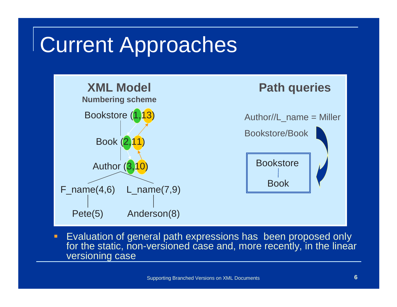### Current Approaches



- Evaluation of general path expressions has been proposed only for the static, non-versioned case and, more recently, in the linear versioning case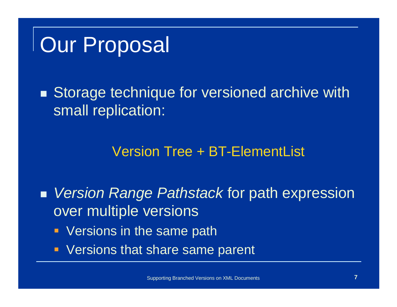# Our Proposal

■ Storage technique for versioned archive with small replication:

#### Version Tree + BT-ElementList

■ *Version Range Pathstack* for path expression over multiple versions

- **-** Versions in the same path
- **-** Versions that share same parent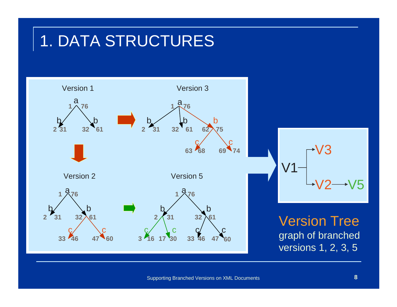### 1. DATA STRUCTURES

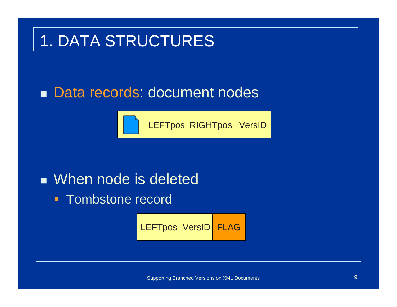### 1. DATA STRUCTURES

#### ■ Data records: document nodes

LEFTpos|RIGHTpos|VersID

■ When node is deleted

- Tombstone record

LEFTpos |VersID FLAG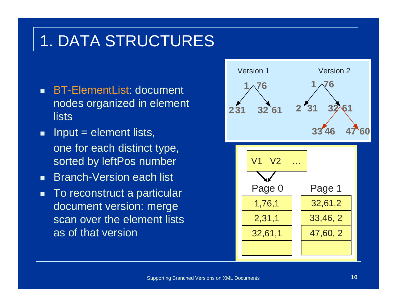#### 1. DATA STRUCTURES

- п BT-ElementList: document nodes organized in element **lists**
- $\blacksquare$  Input = element lists, one for each distinct type, sorted by leftPos number
- п Branch-Version each list
- п To reconstruct a particular document version: merge scan over the element lists as of that version

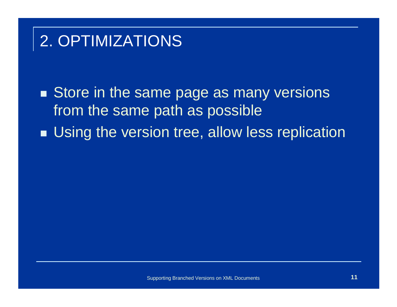#### 2. OPTIMIZATIONS

Store in the same page as many versions from the same path as possible■ Using the version tree, allow less replication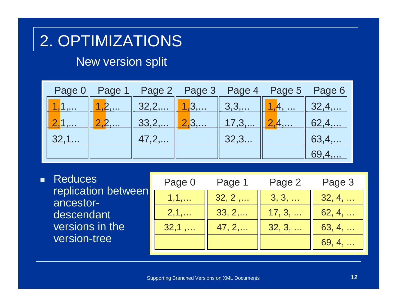### 2. OPTIMIZATIONS

New version split

|      |       |                                    | Page 0 Page 1 Page 2 Page 3 Page 4 Page 5 Page 6 |           |      |        |
|------|-------|------------------------------------|--------------------------------------------------|-----------|------|--------|
|      | 1, 2, | $\parallel$ 32,2, $\parallel$ 1,3, |                                                  | $\ 3,3, $ | 1,4, | 32,4,  |
| 2,1, | 2,2,  | 33,2,                              | 2,3,                                             | 17,3,     | 2,4, | 62, 4, |
| 32,1 |       | 47,2,                              |                                                  | 32,3      |      | 63,4,  |
|      |       |                                    |                                                  |           |      |        |

п **Reduces** replication between ancestordescendant versions in the version-tree

| Page 0 | Page 1          | Page 2 | Page 3 |  |
|--------|-----------------|--------|--------|--|
| 1,1,   | 32, 2,          | 3, 3,  | 32, 4, |  |
| 2,1,   | 33, 2,          | 17, 3, | 62, 4, |  |
| 32,1,  | $47, 2, \ldots$ | 32, 3, | 63, 4, |  |
|        |                 |        | 69, 4, |  |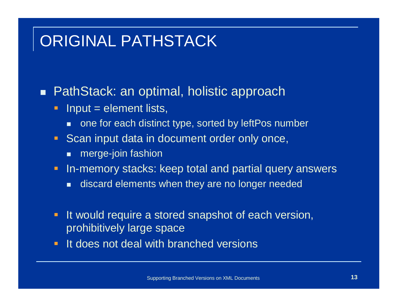### ORIGINAL PATHSTACK

#### ■ PathStack: an optimal, holistic approach

- - Input = element lists,
	- a ka one for each distinct type, sorted by leftPos number
- - Scan input data in document order only once,
	- × merge-join fashion
- - In-memory stacks: keep total and partial query answers
	- × discard elements when they are no longer needed
- - It would require a stored snapshot of each version, prohibitively large space
- -It does not deal with branched versions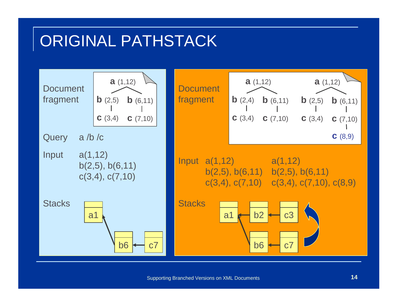#### ORIGINAL PATHSTACK

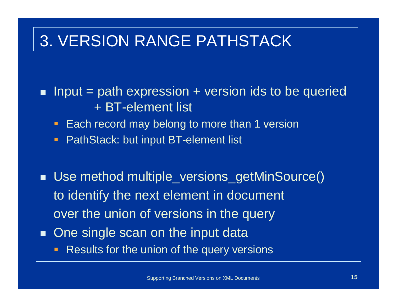#### 3. VERSION RANGE PATHSTACK

- **Input = path expression + version ids to be queried** + BT-element list
	- -Each record may belong to more than 1 version
	- -PathStack: but input BT-element list
- Use method multiple\_versions\_getMinSource() to identify the next element in document over the union of versions in the query
- п One single scan on the input data
	- **Results for the union of the query versions** -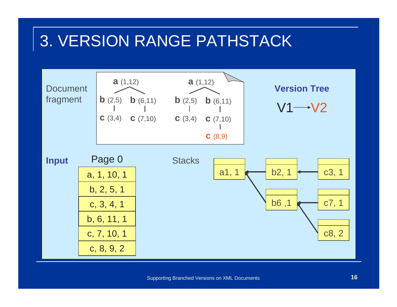#### 3. VERSION RANGE PATHSTACK



Supporting Branched Versions on XML Documents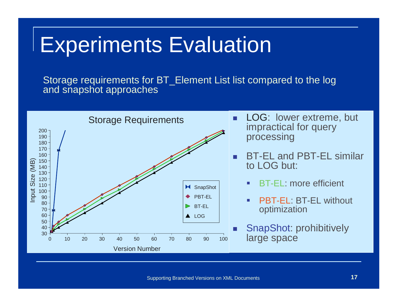### Experiments Evaluation

Storage requirements for BT\_Element List list compared to the log and snapshot approaches

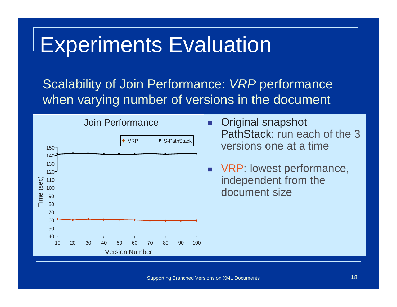### Experiments Evaluation

Scalability of Join Performance: VRP performance when varying number of versions in the document



- $\blacksquare$  Original snapshot PathStack: run each of the 3 versions one at a time
- **NRP:** lowest performance, independent from the document size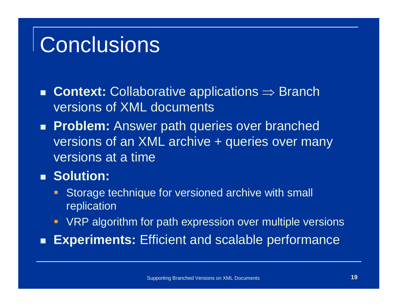### **Conclusions**

- **Context:** Collaborative applications ⇒ Branch<br>Marsions of XML documents versions of XML documents
- Problem: Answer path queries over branched versions of an XML archive + queries over many versions at a time

#### ■ Solution:

- - Storage technique for versioned archive with small replication
- **-** VRP algorithm for path expression over multiple versions
- $\blacksquare$ **Experiments: Efficient and scalable performance**